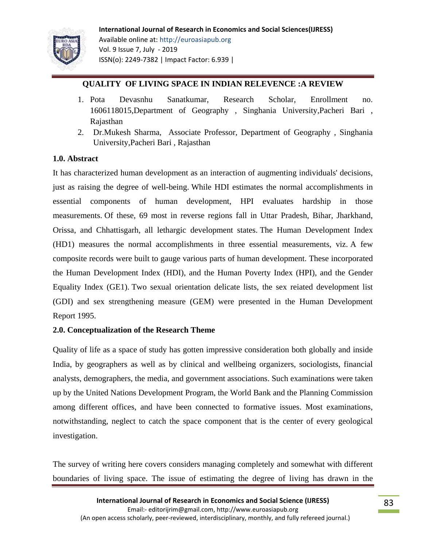

# **QUALITY OF LIVING SPACE IN INDIAN RELEVENCE :A REVIEW**

- 1. Pota Devasnhu Sanatkumar, Research Scholar, Enrollment no. 1606118015,Department of Geography , Singhania University,Pacheri Bari , Rajasthan
- 2. Dr.Mukesh Sharma, Associate Professor, Department of Geography , Singhania University,Pacheri Bari , Rajasthan

### **1.0. Abstract**

It has characterized human development as an interaction of augmenting individuals' decisions, just as raising the degree of well-being. While HDI estimates the normal accomplishments in essential components of human development, HPI evaluates hardship in those measurements. Of these, 69 most in reverse regions fall in Uttar Pradesh, Bihar, Jharkhand, Orissa, and Chhattisgarh, all lethargic development states. The Human Development Index (HD1) measures the normal accomplishments in three essential measurements, viz. A few composite records were built to gauge various parts of human development. These incorporated the Human Development Index (HDI), and the Human Poverty Index (HPI), and the Gender Equality Index (GE1). Two sexual orientation delicate lists, the sex reiated development list (GDI) and sex strengthening measure (GEM) were presented in the Human Development Report 1995.

## **2.0. Conceptualization of the Research Theme**

Quality of life as a space of study has gotten impressive consideration both globally and inside India, by geographers as well as by clinical and wellbeing organizers, sociologists, financial analysts, demographers, the media, and government associations. Such examinations were taken up by the United Nations Development Program, the World Bank and the Planning Commission among different offices, and have been connected to formative issues. Most examinations, notwithstanding, neglect to catch the space component that is the center of every geological investigation.

The survey of writing here covers considers managing completely and somewhat with different boundaries of living space. The issue of estimating the degree of living has drawn in the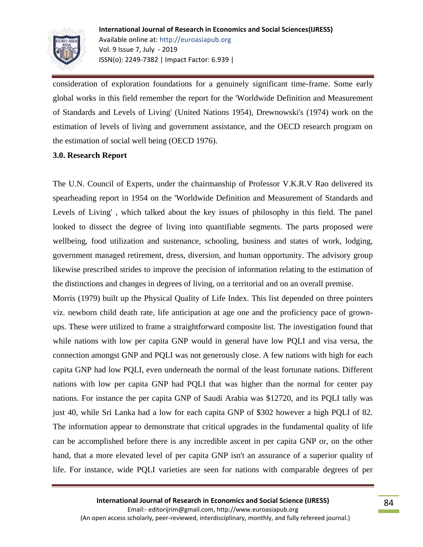

consideration of exploration foundations for a genuinely significant time-frame. Some early global works in this field remember the report for the 'Worldwide Definition and Measurement of Standards and Levels of Living' (United Nations 1954), Drewnowski's (1974) work on the estimation of levels of living and government assistance, and the OECD research program on the estimation of social well being (OECD 1976).

### **3.0. Research Report**

The U.N. Council of Experts, under the chairmanship of Professor V.K.R.V Rao delivered its spearheading report in 1954 on the 'Worldwide Definition and Measurement of Standards and Levels of Living' , which talked about the key issues of philosophy in this field. The panel looked to dissect the degree of living into quantifiable segments. The parts proposed were wellbeing, food utilization and sustenance, schooling, business and states of work, lodging, government managed retirement, dress, diversion, and human opportunity. The advisory group likewise prescribed strides to improve the precision of information relating to the estimation of the distinctions and changes in degrees of living, on a territorial and on an overall premise.

Morris (1979) built up the Physical Quality of Life Index. This list depended on three pointers viz. newborn child death rate, life anticipation at age one and the proficiency pace of grownups. These were utilized to frame a straightforward composite list. The investigation found that while nations with low per capita GNP would in general have low PQLI and visa versa, the connection amongst GNP and PQLI was not generously close. A few nations with high for each capita GNP had low PQLI, even underneath the normal of the least fortunate nations. Different nations with low per capita GNP had PQLI that was higher than the normal for center pay nations. For instance the per capita GNP of Saudi Arabia was \$12720, and its PQLI tally was just 40, while Sri Lanka had a low for each capita GNP of \$302 however a high PQLI of 82. The information appear to demonstrate that critical upgrades in the fundamental quality of life can be accomplished before there is any incredible ascent in per capita GNP or, on the other hand, that a more elevated level of per capita GNP isn't an assurance of a superior quality of life. For instance, wide PQLI varieties are seen for nations with comparable degrees of per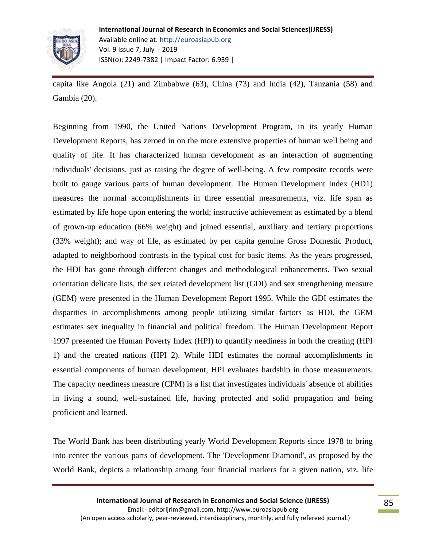

capita like Angola (21) and Zimbabwe (63), China (73) and India (42), Tanzania (58) and Gambia (20).

Beginning from 1990, the United Nations Development Program, in its yearly Human Development Reports, has zeroed in on the more extensive properties of human well being and quality of life. It has characterized human development as an interaction of augmenting individuals' decisions, just as raising the degree of well-being. A few composite records were built to gauge various parts of human development. The Human Development Index (HD1) measures the normal accomplishments in three essential measurements, viz. life span as estimated by life hope upon entering the world; instructive achievement as estimated by a blend of grown-up education (66% weight) and joined essential, auxiliary and tertiary proportions (33% weight); and way of life, as estimated by per capita genuine Gross Domestic Product, adapted to neighborhood contrasts in the typical cost for basic items. As the years progressed, the HDI has gone through different changes and methodological enhancements. Two sexual orientation delicate lists, the sex reiated development list (GDI) and sex strengthening measure (GEM) were presented in the Human Development Report 1995. While the GDI estimates the disparities in accomplishments among people utilizing similar factors as HDI, the GEM estimates sex inequality in financial and political freedom. The Human Development Report 1997 presented the Human Poverty Index (HPI) to quantify neediness in both the creating (HPI 1) and the created nations (HPI 2). While HDI estimates the normal accomplishments in essential components of human development, HPI evaluates hardship in those measurements. The capacity neediness measure (CPM) is a list that investigates individuals' absence of abilities in living a sound, well-sustained life, having protected and solid propagation and being proficient and learned.

The World Bank has been distributing yearly World Development Reports since 1978 to bring into center the various parts of development. The 'Development Diamond', as proposed by the World Bank, depicts a relationship among four financial markers for a given nation, viz. life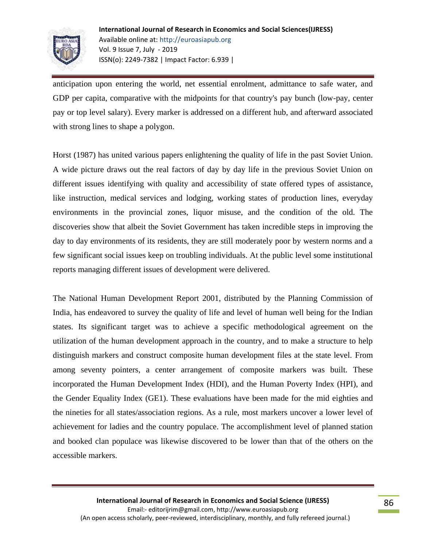

anticipation upon entering the world, net essential enrolment, admittance to safe water, and GDP per capita, comparative with the midpoints for that country's pay bunch (low-pay, center pay or top level salary). Every marker is addressed on a different hub, and afterward associated with strong lines to shape a polygon.

Horst (1987) has united various papers enlightening the quality of life in the past Soviet Union. A wide picture draws out the real factors of day by day life in the previous Soviet Union on different issues identifying with quality and accessibility of state offered types of assistance, like instruction, medical services and lodging, working states of production lines, everyday environments in the provincial zones, liquor misuse, and the condition of the old. The discoveries show that albeit the Soviet Government has taken incredible steps in improving the day to day environments of its residents, they are still moderately poor by western norms and a few significant social issues keep on troubling individuals. At the public level some institutional reports managing different issues of development were delivered.

The National Human Development Report 2001, distributed by the Planning Commission of India, has endeavored to survey the quality of life and level of human well being for the Indian states. Its significant target was to achieve a specific methodological agreement on the utilization of the human development approach in the country, and to make a structure to help distinguish markers and construct composite human development files at the state level. From among seventy pointers, a center arrangement of composite markers was built. These incorporated the Human Development Index (HDI), and the Human Poverty Index (HPI), and the Gender Equality Index (GE1). These evaluations have been made for the mid eighties and the nineties for all states/association regions. As a rule, most markers uncover a lower level of achievement for ladies and the country populace. The accomplishment level of planned station and booked clan populace was likewise discovered to be lower than that of the others on the accessible markers.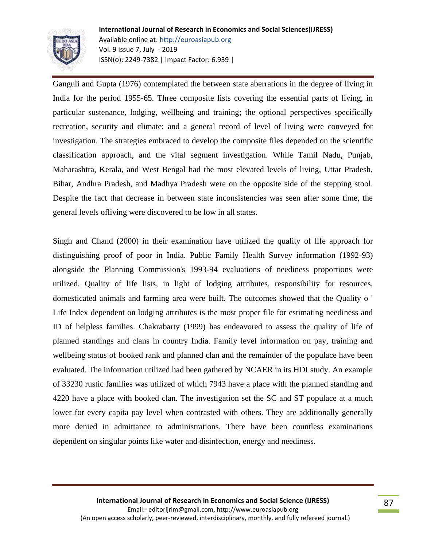

Ganguli and Gupta (1976) contemplated the between state aberrations in the degree of living in India for the period 1955-65. Three composite lists covering the essential parts of living, in particular sustenance, lodging, wellbeing and training; the optional perspectives specifically recreation, security and climate; and a general record of level of living were conveyed for investigation. The strategies embraced to develop the composite files depended on the scientific classification approach, and the vital segment investigation. While Tamil Nadu, Punjab, Maharashtra, Kerala, and West Bengal had the most elevated levels of living, Uttar Pradesh, Bihar, Andhra Pradesh, and Madhya Pradesh were on the opposite side of the stepping stool. Despite the fact that decrease in between state inconsistencies was seen after some time, the general levels ofliving were discovered to be low in all states.

Singh and Chand (2000) in their examination have utilized the quality of life approach for distinguishing proof of poor in India. Public Family Health Survey information (1992-93) alongside the Planning Commission's 1993-94 evaluations of neediness proportions were utilized. Quality of life lists, in light of lodging attributes, responsibility for resources, domesticated animals and farming area were built. The outcomes showed that the Quality o ' Life Index dependent on lodging attributes is the most proper file for estimating neediness and ID of helpless families. Chakrabarty (1999) has endeavored to assess the quality of life of planned standings and clans in country India. Family level information on pay, training and wellbeing status of booked rank and planned clan and the remainder of the populace have been evaluated. The information utilized had been gathered by NCAER in its HDI study. An example of 33230 rustic families was utilized of which 7943 have a place with the planned standing and 4220 have a place with booked clan. The investigation set the SC and ST populace at a much lower for every capita pay level when contrasted with others. They are additionally generally more denied in admittance to administrations. There have been countless examinations dependent on singular points like water and disinfection, energy and neediness.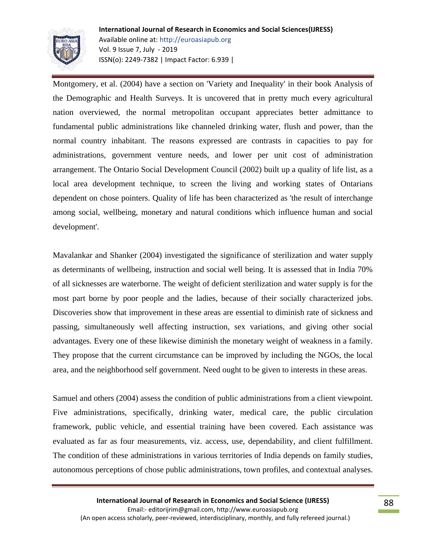

Montgomery, et al. (2004) have a section on 'Variety and Inequality' in their book Analysis of the Demographic and Health Surveys. It is uncovered that in pretty much every agricultural nation overviewed, the normal metropolitan occupant appreciates better admittance to fundamental public administrations like channeled drinking water, flush and power, than the normal country inhabitant. The reasons expressed are contrasts in capacities to pay for administrations, government venture needs, and lower per unit cost of administration arrangement. The Ontario Social Development Council (2002) built up a quality of life list, as a local area development technique, to screen the living and working states of Ontarians dependent on chose pointers. Quality of life has been characterized as 'the result of interchange among social, wellbeing, monetary and natural conditions which influence human and social development'.

Mavalankar and Shanker (2004) investigated the significance of sterilization and water supply as determinants of wellbeing, instruction and social well being. It is assessed that in India 70% of all sicknesses are waterborne. The weight of deficient sterilization and water supply is for the most part borne by poor people and the ladies, because of their socially characterized jobs. Discoveries show that improvement in these areas are essential to diminish rate of sickness and passing, simultaneously well affecting instruction, sex variations, and giving other social advantages. Every one of these likewise diminish the monetary weight of weakness in a family. They propose that the current circumstance can be improved by including the NGOs, the local area, and the neighborhood self government. Need ought to be given to interests in these areas.

Samuel and others (2004) assess the condition of public administrations from a client viewpoint. Five administrations, specifically, drinking water, medical care, the public circulation framework, public vehicle, and essential training have been covered. Each assistance was evaluated as far as four measurements, viz. access, use, dependability, and client fulfillment. The condition of these administrations in various territories of India depends on family studies, autonomous perceptions of chose public administrations, town profiles, and contextual analyses.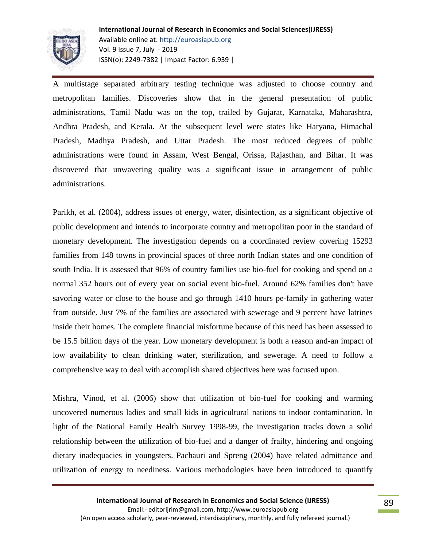

A multistage separated arbitrary testing technique was adjusted to choose country and metropolitan families. Discoveries show that in the general presentation of public administrations, Tamil Nadu was on the top, trailed by Gujarat, Karnataka, Maharashtra, Andhra Pradesh, and Kerala. At the subsequent level were states like Haryana, Himachal Pradesh, Madhya Pradesh, and Uttar Pradesh. The most reduced degrees of public administrations were found in Assam, West Bengal, Orissa, Rajasthan, and Bihar. It was discovered that unwavering quality was a significant issue in arrangement of public administrations.

Parikh, et al. (2004), address issues of energy, water, disinfection, as a significant objective of public development and intends to incorporate country and metropolitan poor in the standard of monetary development. The investigation depends on a coordinated review covering 15293 families from 148 towns in provincial spaces of three north Indian states and one condition of south India. It is assessed that 96% of country families use bio-fuel for cooking and spend on a normal 352 hours out of every year on social event bio-fuel. Around 62% families don't have savoring water or close to the house and go through 1410 hours pe-family in gathering water from outside. Just 7% of the families are associated with sewerage and 9 percent have latrines inside their homes. The complete financial misfortune because of this need has been assessed to be 15.5 billion days of the year. Low monetary development is both a reason and-an impact of low availability to clean drinking water, sterilization, and sewerage. A need to follow a comprehensive way to deal with accomplish shared objectives here was focused upon.

Mishra, Vinod, et al. (2006) show that utilization of bio-fuel for cooking and warming uncovered numerous ladies and small kids in agricultural nations to indoor contamination. In light of the National Family Health Survey 1998-99, the investigation tracks down a solid relationship between the utilization of bio-fuel and a danger of frailty, hindering and ongoing dietary inadequacies in youngsters. Pachauri and Spreng (2004) have related admittance and utilization of energy to neediness. Various methodologies have been introduced to quantify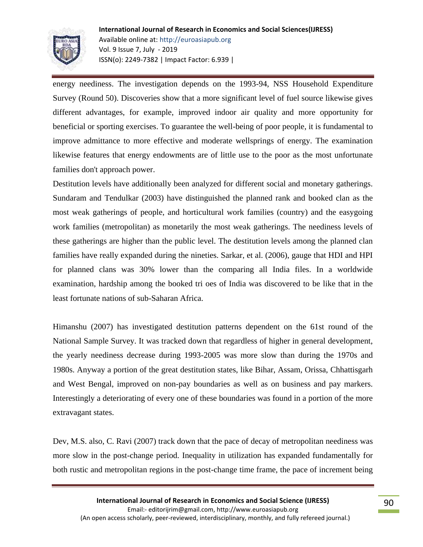

energy neediness. The investigation depends on the 1993-94, NSS Household Expenditure Survey (Round 50). Discoveries show that a more significant level of fuel source likewise gives different advantages, for example, improved indoor air quality and more opportunity for beneficial or sporting exercises. To guarantee the well-being of poor people, it is fundamental to improve admittance to more effective and moderate wellsprings of energy. The examination likewise features that energy endowments are of little use to the poor as the most unfortunate families don't approach power.

Destitution levels have additionally been analyzed for different social and monetary gatherings. Sundaram and Tendulkar (2003) have distinguished the planned rank and booked clan as the most weak gatherings of people, and horticultural work families (country) and the easygoing work families (metropolitan) as monetarily the most weak gatherings. The neediness levels of these gatherings are higher than the public level. The destitution levels among the planned clan families have really expanded during the nineties. Sarkar, et al. (2006), gauge that HDI and HPI for planned clans was 30% lower than the comparing all India files. In a worldwide examination, hardship among the booked tri oes of India was discovered to be like that in the least fortunate nations of sub-Saharan Africa.

Himanshu (2007) has investigated destitution patterns dependent on the 61st round of the National Sample Survey. It was tracked down that regardless of higher in general development, the yearly neediness decrease during 1993-2005 was more slow than during the 1970s and 1980s. Anyway a portion of the great destitution states, like Bihar, Assam, Orissa, Chhattisgarh and West Bengal, improved on non-pay boundaries as well as on business and pay markers. Interestingly a deteriorating of every one of these boundaries was found in a portion of the more extravagant states.

Dev, M.S. also, C. Ravi (2007) track down that the pace of decay of metropolitan neediness was more slow in the post-change period. Inequality in utilization has expanded fundamentally for both rustic and metropolitan regions in the post-change time frame, the pace of increment being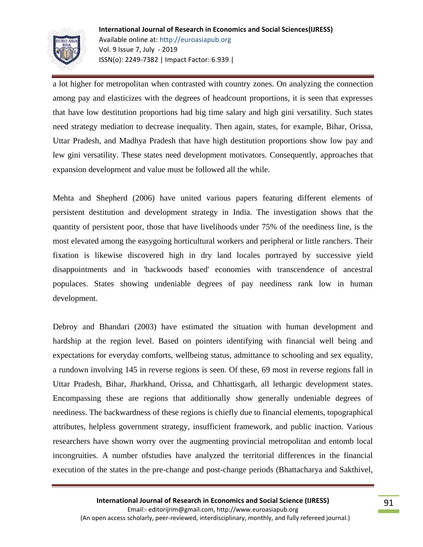

a lot higher for metropolitan when contrasted with country zones. On analyzing the connection among pay and elasticizes with the degrees of headcount proportions, it is seen that expresses that have low destitution proportions had big time salary and high gini versatility. Such states need strategy mediation to decrease inequality. Then again, states, for example, Bihar, Orissa, Uttar Pradesh, and Madhya Pradesh that have high destitution proportions show low pay and lew gini versatility. These states need development motivators. Consequently, approaches that expansion development and value must be followed all the while.

Mehta and Shepherd (2006) have united various papers featuring different elements of persistent destitution and development strategy in India. The investigation shows that the quantity of persistent poor, those that have livelihoods under 75% of the neediness line, is the most elevated among the easygoing horticultural workers and peripheral or little ranchers. Their fixation is likewise discovered high in dry land locales portrayed by successive yield disappointments and in 'backwoods based' economies with transcendence of ancestral populaces. States showing undeniable degrees of pay neediness rank low in human development.

Debroy and Bhandari (2003) have estimated the situation with human development and hardship at the region level. Based on pointers identifying with financial well being and expectations for everyday comforts, wellbeing status, admittance to schooling and sex equality, a rundown involving 145 in reverse regions is seen. Of these, 69 most in reverse regions fall in Uttar Pradesh, Bihar, Jharkhand, Orissa, and Chhattisgarh, all lethargic development states. Encompassing these are regions that additionally show generally undeniable degrees of neediness. The backwardness of these regions is chiefly due to financial elements, topographical attributes, helpless government strategy, insufficient framework, and public inaction. Various researchers have shown worry over the augmenting provincial metropolitan and entomb local incongruities. A number ofstudies have analyzed the territorial differences in the financial execution of the states in the pre-change and post-change periods (Bhattacharya and Sakthivel,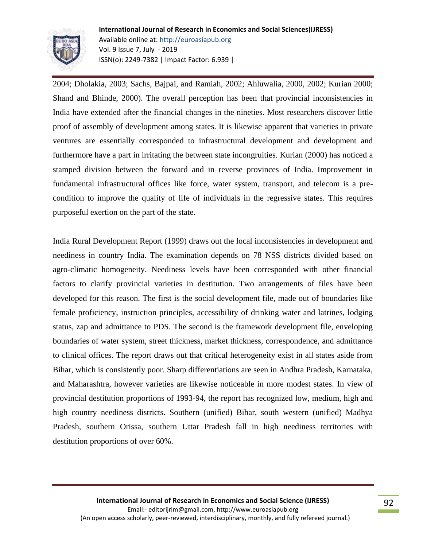

2004; Dholakia, 2003; Sachs, Bajpai, and Ramiah, 2002; Ahluwalia, 2000, 2002; Kurian 2000; Shand and Bhinde, 2000). The overall perception has been that provincial inconsistencies in India have extended after the financial changes in the nineties. Most researchers discover little proof of assembly of development among states. It is likewise apparent that varieties in private ventures are essentially corresponded to infrastructural development and development and furthermore have a part in irritating the between state incongruities. Kurian (2000) has noticed a stamped division between the forward and in reverse provinces of India. Improvement in fundamental infrastructural offices like force, water system, transport, and telecom is a precondition to improve the quality of life of individuals in the regressive states. This requires purposeful exertion on the part of the state.

India Rural Development Report (1999) draws out the local inconsistencies in development and neediness in country India. The examination depends on 78 NSS districts divided based on agro-climatic homogeneity. Neediness levels have been corresponded with other financial factors to clarify provincial varieties in destitution. Two arrangements of files have been developed for this reason. The first is the social development file, made out of boundaries like female proficiency, instruction principles, accessibility of drinking water and latrines, lodging status, zap and admittance to PDS. The second is the framework development file, enveloping boundaries of water system, street thickness, market thickness, correspondence, and admittance to clinical offices. The report draws out that critical heterogeneity exist in all states aside from Bihar, which is consistently poor. Sharp differentiations are seen in Andhra Pradesh, Karnataka, and Maharashtra, however varieties are likewise noticeable in more modest states. In view of provincial destitution proportions of 1993-94, the report has recognized low, medium, high and high country neediness districts. Southern (unified) Bihar, south western (unified) Madhya Pradesh, southern Orissa, southern Uttar Pradesh fall in high neediness territories with destitution proportions of over 60%.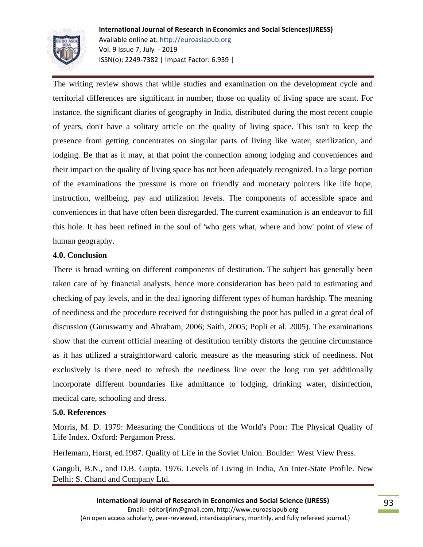

The writing review shows that while studies and examination on the development cycle and territorial differences are significant in number, those on quality of living space are scant. For instance, the significant diaries of geography in India, distributed during the most recent couple of years, don't have a solitary article on the quality of living space. This isn't to keep the presence from getting concentrates on singular parts of living like water, sterilization, and lodging. Be that as it may, at that point the connection among lodging and conveniences and their impact on the quality of living space has not been adequately recognized. In a large portion of the examinations the pressure is more on friendly and monetary pointers like life hope, instruction, wellbeing, pay and utilization levels. The components of accessible space and conveniences in that have often been disregarded. The current examination is an endeavor to fill this hole. It has been refined in the soul of 'who gets what, where and how' point of view of human geography.

## **4.0. Conclusion**

There is broad writing on different components of destitution. The subject has generally been taken care of by financial analysts, hence more consideration has been paid to estimating and checking of pay levels, and in the deal ignoring different types of human hardship. The meaning of neediness and the procedure received for distinguishing the poor has pulled in a great deal of discussion (Guruswamy and Abraham, 2006; Saith, 2005; Popli et al. 2005). The examinations show that the current official meaning of destitution terribly distorts the genuine circumstance as it has utilized a straightforward caloric measure as the measuring stick of neediness. Not exclusively is there need to refresh the neediness line over the long run yet additionally incorporate different boundaries like admittance to lodging, drinking water, disinfection, medical care, schooling and dress.

#### **5.0. References**

Morris, M. D. 1979: Measuring the Conditions of the World's Poor: The Physical Quality of Life Index. Oxford: Pergamon Press.

Herlemarn, Horst, ed.1987. Quality of Life in the Soviet Union. Boulder: West View Press.

Ganguli, B.N., and D.B. Gupta. 1976. Levels of Living in India, An Inter-State Profile. New Delhi: S. Chand and Company Ltd.